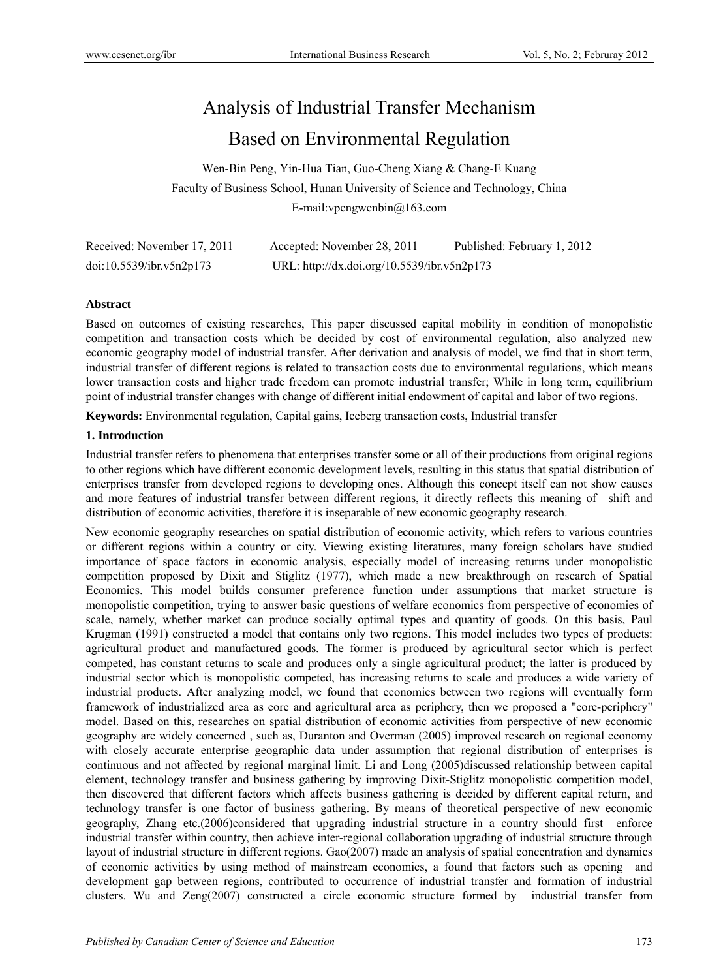# Analysis of Industrial Transfer Mechanism Based on Environmental Regulation

Wen-Bin Peng, Yin-Hua Tian, Guo-Cheng Xiang & Chang-E Kuang Faculty of Business School, Hunan University of Science and Technology, China E-mail:vpengwenbin@163.com

| Received: November 17, 2011 | Accepted: November 28, 2011                 | Published: February 1, 2012 |
|-----------------------------|---------------------------------------------|-----------------------------|
| doi:10.5539/ibr.v5n2p173    | URL: http://dx.doi.org/10.5539/ibr.v5n2p173 |                             |

# **Abstract**

Based on outcomes of existing researches, This paper discussed capital mobility in condition of monopolistic competition and transaction costs which be decided by cost of environmental regulation, also analyzed new economic geography model of industrial transfer. After derivation and analysis of model, we find that in short term, industrial transfer of different regions is related to transaction costs due to environmental regulations, which means lower transaction costs and higher trade freedom can promote industrial transfer; While in long term, equilibrium point of industrial transfer changes with change of different initial endowment of capital and labor of two regions.

**Keywords:** Environmental regulation, Capital gains, Iceberg transaction costs, Industrial transfer

# **1. Introduction**

Industrial transfer refers to phenomena that enterprises transfer some or all of their productions from original regions to other regions which have different economic development levels, resulting in this status that spatial distribution of enterprises transfer from developed regions to developing ones. Although this concept itself can not show causes and more features of industrial transfer between different regions, it directly reflects this meaning of shift and distribution of economic activities, therefore it is inseparable of new economic geography research.

New economic geography researches on spatial distribution of economic activity, which refers to various countries or different regions within a country or city. Viewing existing literatures, many foreign scholars have studied importance of space factors in economic analysis, especially model of increasing returns under monopolistic competition proposed by Dixit and Stiglitz (1977), which made a new breakthrough on research of Spatial Economics. This model builds consumer preference function under assumptions that market structure is monopolistic competition, trying to answer basic questions of welfare economics from perspective of economies of scale, namely, whether market can produce socially optimal types and quantity of goods. On this basis, Paul Krugman (1991) constructed a model that contains only two regions. This model includes two types of products: agricultural product and manufactured goods. The former is produced by agricultural sector which is perfect competed, has constant returns to scale and produces only a single agricultural product; the latter is produced by industrial sector which is monopolistic competed, has increasing returns to scale and produces a wide variety of industrial products. After analyzing model, we found that economies between two regions will eventually form framework of industrialized area as core and agricultural area as periphery, then we proposed a "core-periphery" model. Based on this, researches on spatial distribution of economic activities from perspective of new economic geography are widely concerned , such as, Duranton and Overman (2005) improved research on regional economy with closely accurate enterprise geographic data under assumption that regional distribution of enterprises is continuous and not affected by regional marginal limit. Li and Long (2005)discussed relationship between capital element, technology transfer and business gathering by improving Dixit-Stiglitz monopolistic competition model, then discovered that different factors which affects business gathering is decided by different capital return, and technology transfer is one factor of business gathering. By means of theoretical perspective of new economic geography, Zhang etc.(2006)considered that upgrading industrial structure in a country should first enforce industrial transfer within country, then achieve inter-regional collaboration upgrading of industrial structure through layout of industrial structure in different regions. Gao(2007) made an analysis of spatial concentration and dynamics of economic activities by using method of mainstream economics, a found that factors such as opening and development gap between regions, contributed to occurrence of industrial transfer and formation of industrial clusters. Wu and Zeng(2007) constructed a circle economic structure formed by industrial transfer from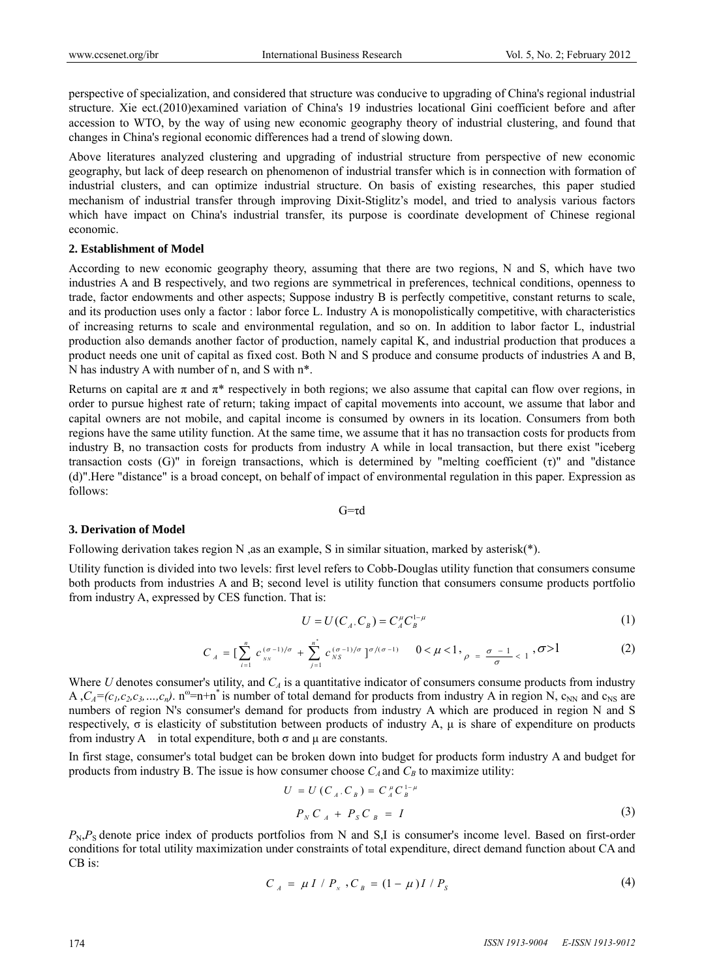perspective of specialization, and considered that structure was conducive to upgrading of China's regional industrial structure. Xie ect.(2010)examined variation of China's 19 industries locational Gini coefficient before and after accession to WTO, by the way of using new economic geography theory of industrial clustering, and found that changes in China's regional economic differences had a trend of slowing down.

Above literatures analyzed clustering and upgrading of industrial structure from perspective of new economic geography, but lack of deep research on phenomenon of industrial transfer which is in connection with formation of industrial clusters, and can optimize industrial structure. On basis of existing researches, this paper studied mechanism of industrial transfer through improving Dixit-Stiglitz's model, and tried to analysis various factors which have impact on China's industrial transfer, its purpose is coordinate development of Chinese regional economic.

# **2. Establishment of Model**

According to new economic geography theory, assuming that there are two regions, N and S, which have two industries A and B respectively, and two regions are symmetrical in preferences, technical conditions, openness to trade, factor endowments and other aspects; Suppose industry B is perfectly competitive, constant returns to scale, and its production uses only a factor : labor force L. Industry A is monopolistically competitive, with characteristics of increasing returns to scale and environmental regulation, and so on. In addition to labor factor L, industrial production also demands another factor of production, namely capital K, and industrial production that produces a product needs one unit of capital as fixed cost. Both N and S produce and consume products of industries A and B, N has industry A with number of n, and S with n\*.

Returns on capital are  $\pi$  and  $\pi^*$  respectively in both regions; we also assume that capital can flow over regions, in order to pursue highest rate of return; taking impact of capital movements into account, we assume that labor and capital owners are not mobile, and capital income is consumed by owners in its location. Consumers from both regions have the same utility function. At the same time, we assume that it has no transaction costs for products from industry B, no transaction costs for products from industry A while in local transaction, but there exist "iceberg transaction costs (G)" in foreign transactions, which is determined by "melting coefficient (τ)" and "distance (d)".Here "distance" is a broad concept, on behalf of impact of environmental regulation in this paper. Expression as follows:

#### $G = \tau d$

## **3. Derivation of Model**

Following derivation takes region N , as an example, S in similar situation, marked by asterisk(\*).

Utility function is divided into two levels: first level refers to Cobb-Douglas utility function that consumers consume both products from industries A and B; second level is utility function that consumers consume products portfolio from industry A, expressed by CES function. That is:

$$
U = U(C_A, C_B) = C_A^{\mu} C_B^{1-\mu}
$$
 (1)

$$
C_A = \left[\sum_{i=1}^n c_{\frac{N}{N}}^{(\sigma-1)/\sigma} + \sum_{j=1}^{n^*} c_{NS}^{(\sigma-1)/\sigma} \right]^{\sigma/(\sigma-1)} \quad 0 < \mu < 1, \, \rho = \frac{\sigma - 1}{\sigma} < 1, \, \sigma > 1 \tag{2}
$$

Where  $U$  denotes consumer's utility, and  $C_A$  is a quantitative indicator of consumers consume products from industry A,  $C_A = (c_1, c_2, c_3, \ldots, c_n)$ . n<sup>®</sup>=n+n<sup>\*</sup> is number of total demand for products from industry A in region N, c<sub>NN</sub> and c<sub>NS</sub> are numbers of region N's consumer's demand for products from industry A which are produced in region N and S respectively, σ is elasticity of substitution between products of industry A,  $\mu$  is share of expenditure on products from industry A in total expenditure, both  $\sigma$  and  $\mu$  are constants.

In first stage, consumer's total budget can be broken down into budget for products form industry A and budget for products from industry B. The issue is how consumer choose  $C_A$  and  $C_B$  to maximize utility:

$$
U = U(C_A, C_B) = C_A^{\mu} C_B^{1-\mu}
$$
  
\n
$$
P_N C_A + P_S C_B = I
$$
 (3)

 $P_N$ , $P_S$  denote price index of products portfolios from N and S,I is consumer's income level. Based on first-order conditions for total utility maximization under constraints of total expenditure, direct demand function about CA and CB is:

$$
C_A = \mu I / P_{N} , C_B = (1 - \mu)I / P_{S}
$$
 (4)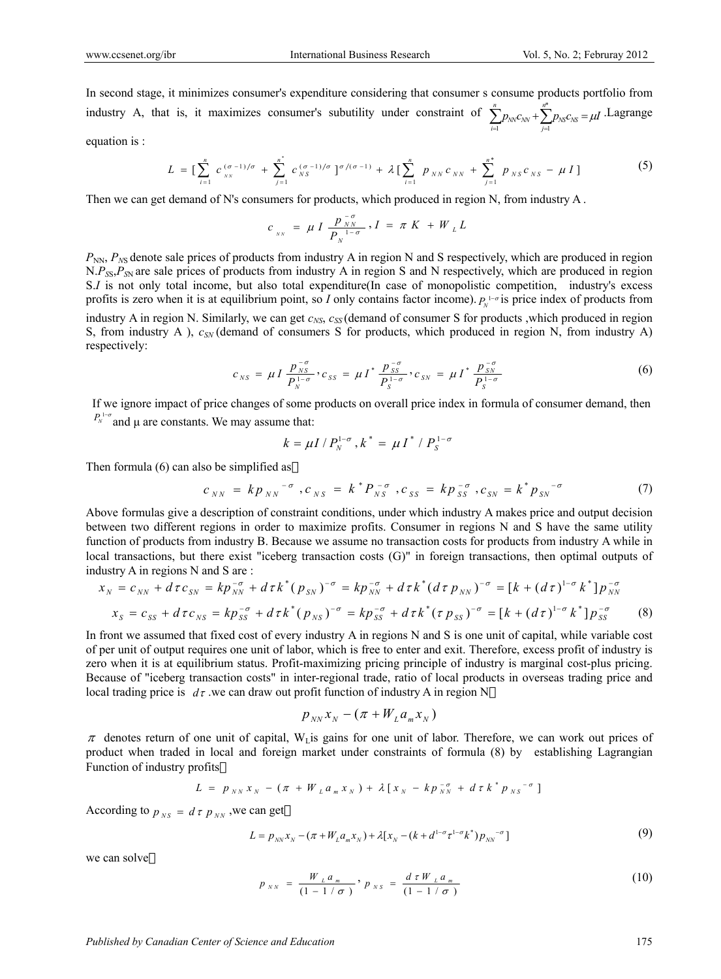In second stage, it minimizes consumer's expenditure considering that consumer s consume products portfolio from industry A, that is, it maximizes consumer's subutility under constraint of  $\sum_{n=0}^{n}$  $-1$   $j=1$ *n n*  $\sum_{i=1} P_{NN} \mathbf{v}_{NN} + \sum_{j=1} P_{NS} \mathbf{v}_{NS}$  $p_{\scriptscriptstyle NN} c_{\scriptscriptstyle NN} + \sum p_{\scriptscriptstyle NN} c_{\scriptscriptstyle NN} = \mu l$  $\sum_{i=1}^{n} p_{NN} c_{NN} + \sum_{j=1}^{n} p_{NS} c_{NS} = \mu I$ . Lagrange

equation is :

$$
L = \left[\sum_{i=1}^{n} c_{\substack{(s-1)/\sigma \ N}}^{(\sigma-1)/\sigma} + \sum_{j=1}^{n^{*}} c_{\substack{(s-1)/\sigma \ N}}^{(\sigma-1)/\sigma} \right]^{\sigma/(\sigma-1)} + \lambda \left[\sum_{i=1}^{n} p_{\substack{NN}} c_{\substack{NN}} + \sum_{j=1}^{n^{*}} p_{\substack{NS}} c_{\substack{NS}} - \mu I\right]
$$
(5)

Then we can get demand of N's consumers for products, which produced in region N, from industry A.

$$
c_{_{NN}} = \mu I \frac{p_{_{NN}}^{-\sigma}}{P_{_N}^{_{1-\sigma}}}, I = \pi K + W_{_L}L
$$

*P<sub>NN</sub>*, *P<sub>NS</sub>* denote sale prices of products from industry A in region N and S respectively, which are produced in region N.P<sub>SS</sub>,P<sub>SN</sub> are sale prices of products from industry A in region S and N respectively, which are produced in region S.*I* is not only total income, but also total expenditure(In case of monopolistic competition, industry's excess profits is zero when it is at equilibrium point, so *I* only contains factor income).  $P_N^{1-\sigma}$  is price index of products from industry A in region N. Similarly, we can get  $c_{NS}$ ,  $c_{SS}$  (demand of consumer S for products ,which produced in region S, from industry A ),  $c_{SN}$  (demand of consumers S for products, which produced in region N, from industry A) respectively:

$$
c_{NS} = \mu I \frac{p_{NS}^{-\sigma}}{P_N^{1-\sigma}} \cdot c_{SS} = \mu I^* \frac{p_{SS}^{-\sigma}}{P_S^{1-\sigma}} \cdot c_{SN} = \mu I^* \frac{p_{SN}^{-\sigma}}{P_S^{1-\sigma}}
$$
(6)

If we ignore impact of price changes of some products on overall price index in formula of consumer demand, then  $\int_{a}^{\infty}$  and  $\mu$  are constants. We may assume that:

$$
k = \mu I / P_N^{1-\sigma}, k^* = \mu I^* / P_S^{1-\sigma}
$$

Then formula (6) can also be simplified as

$$
c_{NN} = k p_{NN}^{\quad - \sigma}, c_{NS} = k^* P_{NS}^{\quad - \sigma}, c_{SS} = k p_{SS}^{\quad - \sigma}, c_{SN} = k^* p_{SN}^{\quad - \sigma} \tag{7}
$$

Above formulas give a description of constraint conditions, under which industry A makes price and output decision between two different regions in order to maximize profits. Consumer in regions N and S have the same utility function of products from industry B. Because we assume no transaction costs for products from industry A while in local transactions, but there exist "iceberg transaction costs (G)" in foreign transactions, then optimal outputs of industry A in regions N and S are :

$$
x_{N} = c_{NN} + d\tau c_{SN} = k p_{NN}^{-\sigma} + d\tau k^{*} (p_{SN})^{-\sigma} = k p_{NN}^{-\sigma} + d\tau k^{*} (d\tau p_{NN})^{-\sigma} = [k + (d\tau)^{1-\sigma} k^{*}] p_{NN}^{-\sigma}
$$
  

$$
x_{S} = c_{SS} + d\tau c_{NS} = k p_{SS}^{-\sigma} + d\tau k^{*} (p_{NS})^{-\sigma} = k p_{SS}^{-\sigma} + d\tau k^{*} (\tau p_{SS})^{-\sigma} = [k + (d\tau)^{1-\sigma} k^{*}] p_{SS}^{-\sigma}
$$
 (8)

In front we assumed that fixed cost of every industry A in regions N and S is one unit of capital, while variable cost of per unit of output requires one unit of labor, which is free to enter and exit. Therefore, excess profit of industry is zero when it is at equilibrium status. Profit-maximizing pricing principle of industry is marginal cost-plus pricing. Because of "iceberg transaction costs" in inter-regional trade, ratio of local products in overseas trading price and local trading price is  $d\tau$ .we can draw out profit function of industry A in region N

$$
p_{NN}x_N-(\pi+W_L a_m x_N)
$$

 $\pi$  denotes return of one unit of capital, W<sub>L</sub> is gains for one unit of labor. Therefore, we can work out prices of product when traded in local and foreign market under constraints of formula (8) by establishing Lagrangian Function of industry profits

$$
L = p_{NN} x_N - (\pi + W_L a_m x_N) + \lambda [x_N - k p_{NN}^{-\sigma} + d \tau k^* p_{NS}^{-\sigma}]
$$

According to  $p_{NS} = d \tau p_{NN}$ , we can get

$$
L = p_{NN}x_N - (\pi + W_L a_m x_N) + \lambda [x_N - (k + d^{1-\sigma} \tau^{1-\sigma} k^*) p_{NN}^{-\sigma}]
$$
\n(9)

we can solve

$$
p_{NN} = \frac{W_L a_m}{(1 - 1 / \sigma)} \cdot p_{NS} = \frac{d \tau W_L a_m}{(1 - 1 / \sigma)}
$$
(10)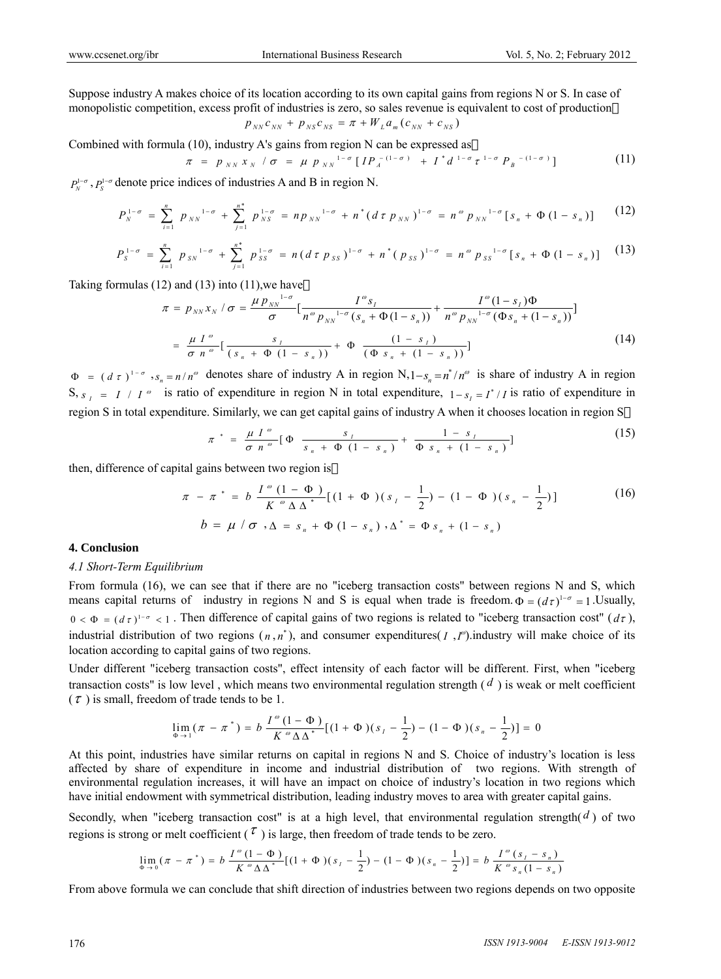Suppose industry A makes choice of its location according to its own capital gains from regions N or S. In case of monopolistic competition, excess profit of industries is zero, so sales revenue is equivalent to cost of production

$$
p_{_{NN}}c_{_{NN}} + p_{_{NS}}c_{_{NS}} = \pi + W_{_{L}}a_{_{m}}(c_{_{NN}} + c_{_{NS}})
$$

Combined with formula (10), industry A's gains from region N can be expressed as

$$
\pi = p_{NN} x_N / \sigma = \mu p_{NN}^{1-\sigma} [IP_A^{-(1-\sigma)} + I^* d^{1-\sigma} \tau^{1-\sigma} P_B^{-(1-\sigma)}]
$$
(11)

 $P_N^{1-\sigma}$ ,  $P_S^{1-\sigma}$  denote price indices of industries A and B in region N.

$$
P_N^{1-\sigma} = \sum_{i=1}^n p_{NN}^{1-\sigma} + \sum_{j=1}^{n^*} p_{NS}^{1-\sigma} = n p_{NN}^{1-\sigma} + n^* (d \tau p_{NN})^{1-\sigma} = n^{\omega} p_{NN}^{1-\sigma} [s_n + \Phi (1-s_n)] \qquad (12)
$$

$$
P_{S}^{1-\sigma} = \sum_{i=1}^{n} p_{SN}^{1-\sigma} + \sum_{j=1}^{n^{*}} p_{SS}^{1-\sigma} = n(d \tau p_{SS})^{1-\sigma} + n^{*} (p_{SS})^{1-\sigma} = n^{\omega} p_{SS}^{1-\sigma} [s_{n} + \Phi (1-s_{n})]
$$
(13)

Taking formulas (12) and (13) into (11),we have

$$
\pi = p_{NN} x_N / \sigma = \frac{\mu p_{NN}^{1-\sigma}}{\sigma} \left[ \frac{I^{\omega} s_I}{n^{\omega} p_{NN}^{1-\sigma} (s_n + \Phi(1-s_n))} + \frac{I^{\omega} (1-s_I) \Phi}{n^{\omega} p_{NN}^{1-\sigma} (\Phi s_n + (1-s_n))} \right]
$$
  

$$
= \frac{\mu I^{\omega}}{\sigma n^{\omega}} \left[ \frac{s_I}{(s_n + \Phi(1-s_n))} + \Phi \frac{(1-s_I)}{(\Phi s_n + (1-s_n))} \right]
$$
(14)

 $\Phi = (d \tau)^{1-\sigma}$ ,  $s_n = n/n^{\omega}$  denotes share of industry A in region N,  $1-s_n = n^*/n^{\omega}$  is share of industry A in region S,  $s_{1} = I / I^{\circ}$  is ratio of expenditure in region N in total expenditure,  $1 - s_{1} = I^{\circ}/I$  is ratio of expenditure in region S in total expenditure. Similarly, we can get capital gains of industry A when it chooses location in region S

$$
\pi^* = \frac{\mu I^{\omega}}{\sigma n^{\omega}} [\Phi \frac{s_I}{s_n + \Phi (1 - s_n)} + \frac{1 - s_I}{\Phi s_n + (1 - s_n)}]
$$
(15)

then, difference of capital gains between two region is

$$
\pi - \pi^* = b \frac{I^{\omega} (1 - \Phi)}{K^{\omega} \Delta \Delta^*} [(1 + \Phi)(s_1 - \frac{1}{2}) - (1 - \Phi)(s_n - \frac{1}{2})]
$$
(16)  

$$
b = \mu / \sigma , \Delta = s_n + \Phi (1 - s_n) , \Delta^* = \Phi s_n + (1 - s_n)
$$

### **4. Conclusion**

#### *4.1 Short-Term Equilibrium*

From formula (16), we can see that if there are no "iceberg transaction costs" between regions N and S, which means capital returns of industry in regions N and S is equal when trade is freedom.  $\Phi = (d\tau)^{1-\sigma} = 1$ . Usually,  $0 < \Phi = (d\tau)^{1-\sigma} < 1$ . Then difference of capital gains of two regions is related to "iceberg transaction cost"  $(d\tau)$ , industrial distribution of two regions  $(n, n^*)$ , and consumer expenditures(*I*,  $I^p$ ).industry will make choice of its location according to capital gains of two regions.

Under different "iceberg transaction costs", effect intensity of each factor will be different. First, when "iceberg transaction costs" is low level , which means two environmental regulation strength ( *d* ) is weak or melt coefficient  $(\tau)$  is small, freedom of trade tends to be 1.

$$
\lim_{\Phi \to 1} (\pi - \pi^*) = b \frac{I^{\omega} (1 - \Phi)}{K^{\omega} \Delta \Delta^*} [(1 + \Phi)(s_1 - \frac{1}{2}) - (1 - \Phi)(s_n - \frac{1}{2})] = 0
$$

At this point, industries have similar returns on capital in regions N and S. Choice of industry's location is less affected by share of expenditure in income and industrial distribution of two regions. With strength of environmental regulation increases, it will have an impact on choice of industry's location in two regions which have initial endowment with symmetrical distribution, leading industry moves to area with greater capital gains.

Secondly, when "iceberg transaction cost" is at a high level, that environmental regulation strength( $d$ ) of two regions is strong or melt coefficient  $(\tau)$  is large, then freedom of trade tends to be zero.

$$
\lim_{\Phi \to 0} (\pi - \pi^*) = b \frac{I^{\omega} (1 - \Phi)}{K^{\omega} \Delta \Delta^*} [(1 + \Phi)(s_I - \frac{1}{2}) - (1 - \Phi)(s_n - \frac{1}{2})] = b \frac{I^{\omega} (s_I - s_n)}{K^{\omega} s_n (1 - s_n)}
$$

From above formula we can conclude that shift direction of industries between two regions depends on two opposite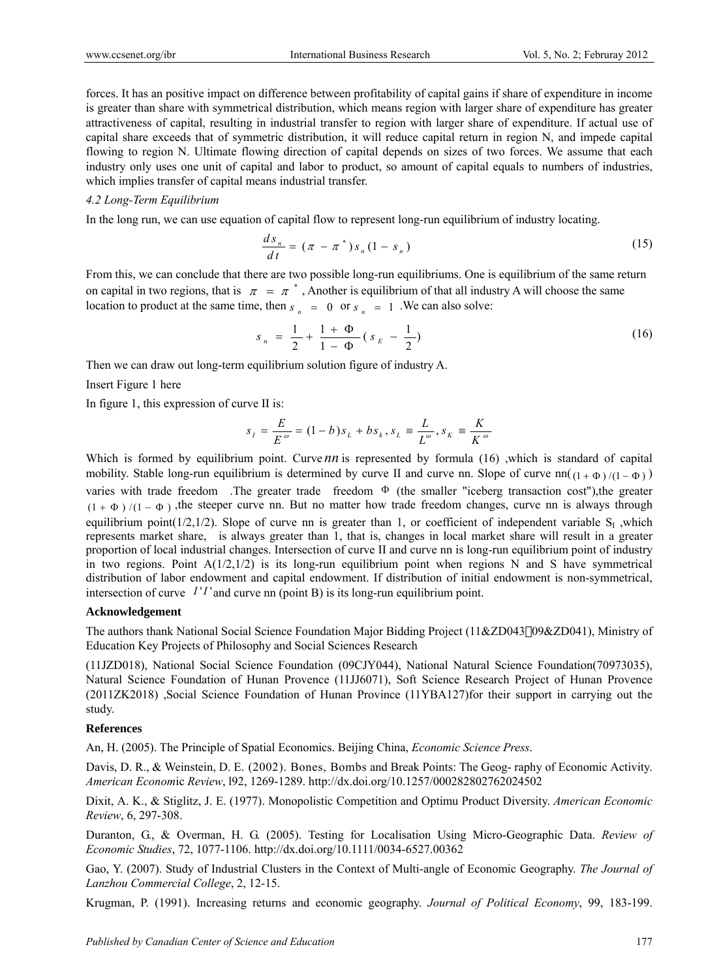forces. It has an positive impact on difference between profitability of capital gains if share of expenditure in income is greater than share with symmetrical distribution, which means region with larger share of expenditure has greater attractiveness of capital, resulting in industrial transfer to region with larger share of expenditure. If actual use of capital share exceeds that of symmetric distribution, it will reduce capital return in region N, and impede capital flowing to region N. Ultimate flowing direction of capital depends on sizes of two forces. We assume that each industry only uses one unit of capital and labor to product, so amount of capital equals to numbers of industries, which implies transfer of capital means industrial transfer.

# *4.2 Long-Term Equilibrium*

In the long run, we can use equation of capital flow to represent long-run equilibrium of industry locating.

$$
\frac{ds_n}{dt} = (\pi - \pi^*)s_n(1 - s_n)
$$
\n(15)

From this, we can conclude that there are two possible long-run equilibriums. One is equilibrium of the same return on capital in two regions, that is  $\pi = \pi^*$ , Another is equilibrium of that all industry A will choose the same location to product at the same time, then  $s_n = 0$  or  $s_n = 1$ . We can also solve:

$$
s_n = \frac{1}{2} + \frac{1+\Phi}{1-\Phi} (s_E - \frac{1}{2})
$$
 (16)

Then we can draw out long-term equilibrium solution figure of industry A.

Insert Figure 1 here

In figure 1, this expression of curve II is:

$$
s_{t} = \frac{E}{E^{\omega}} = (1 - b)s_{t} + bs_{k}, s_{t} \equiv \frac{L}{L^{\omega}}, s_{K} \equiv \frac{K}{K^{\omega}}
$$

Which is formed by equilibrium point. Curve *nn* is represented by formula (16) ,which is standard of capital mobility. Stable long-run equilibrium is determined by curve II and curve nn. Slope of curve  $nn((1 + \Phi)/(1 - \Phi))$ varies with trade freedom .The greater trade freedom  $\Phi$  (the smaller "iceberg transaction cost"), the greater  $(1 + \Phi)/(1 - \Phi)$ , the steeper curve nn. But no matter how trade freedom changes, curve nn is always through equilibrium point( $1/2,1/2$ ). Slope of curve nn is greater than 1, or coefficient of independent variable S<sub>I</sub>, which represents market share, is always greater than 1, that is, changes in local market share will result in a greater proportion of local industrial changes. Intersection of curve II and curve nn is long-run equilibrium point of industry in two regions. Point  $A(1/2,1/2)$  is its long-run equilibrium point when regions N and S have symmetrical distribution of labor endowment and capital endowment. If distribution of initial endowment is non-symmetrical, intersection of curve  $I'I'$  and curve nn (point B) is its long-run equilibrium point.

### **Acknowledgement**

The authors thank National Social Science Foundation Major Bidding Project (11&ZD043 09&ZD041), Ministry of Education Key Projects of Philosophy and Social Sciences Research

(11JZD018), National Social Science Foundation (09CJY044), National Natural Science Foundation(70973035), Natural Science Foundation of Hunan Provence (11JJ6071), Soft Science Research Project of Hunan Provence (2011ZK2018) ,Social Science Foundation of Hunan Province (11YBA127)for their support in carrying out the study.

# **References**

An, H. (2005). The Principle of Spatial Economics. Beijing China, *Economic Science Press*.

Davis, D. R., & Weinstein, D. E. (2002). Bones, Bombs and Break Points: The Geog- raphy of Economic Activity. *American Econom*ic *Review*, l92, 1269-1289. http://dx.doi.org/10.1257/000282802762024502

Dixit, A. K., & Stiglitz, J. E. (1977). Monopolistic Competition and Optimu Product Diversity. *American Economic Review*, 6, 297-308.

Duranton, G., & Overman, H. G. (2005). Testing for Localisation Using Micro-Geographic Data. *Review of Economic Studies*, 72, 1077-1106. http://dx.doi.org/10.1111/0034-6527.00362

Gao, Y. (2007). Study of Industrial Clusters in the Context of Multi-angle of Economic Geography. *The Journal of Lanzhou Commercial College*, 2, 12-15.

Krugman, P. (1991). Increasing returns and economic geography. *Journal of Political Economy*, 99, 183-199.